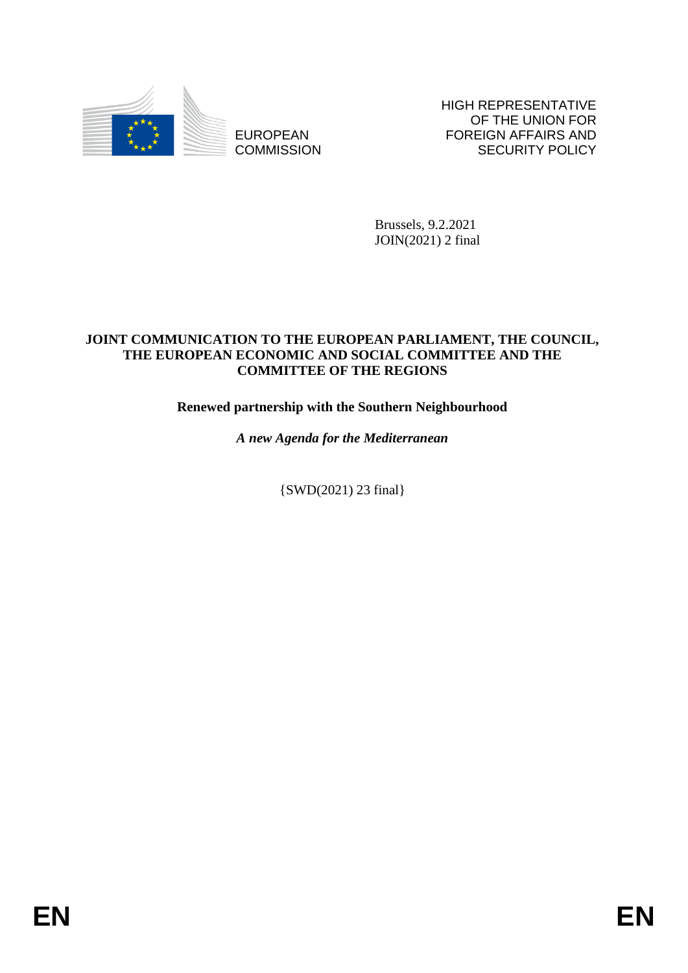

EUROPEAN **COMMISSION**  HIGH REPRESENTATIVE OF THE UNION FOR FOREIGN AFFAIRS AND SECURITY POLICY

Brussels, 9.2.2021 JOIN(2021) 2 final

### **JOINT COMMUNICATION TO THE EUROPEAN PARLIAMENT, THE COUNCIL, THE EUROPEAN ECONOMIC AND SOCIAL COMMITTEE AND THE COMMITTEE OF THE REGIONS**

# **Renewed partnership with the Southern Neighbourhood**

*A new Agenda for the Mediterranean*

{SWD(2021) 23 final}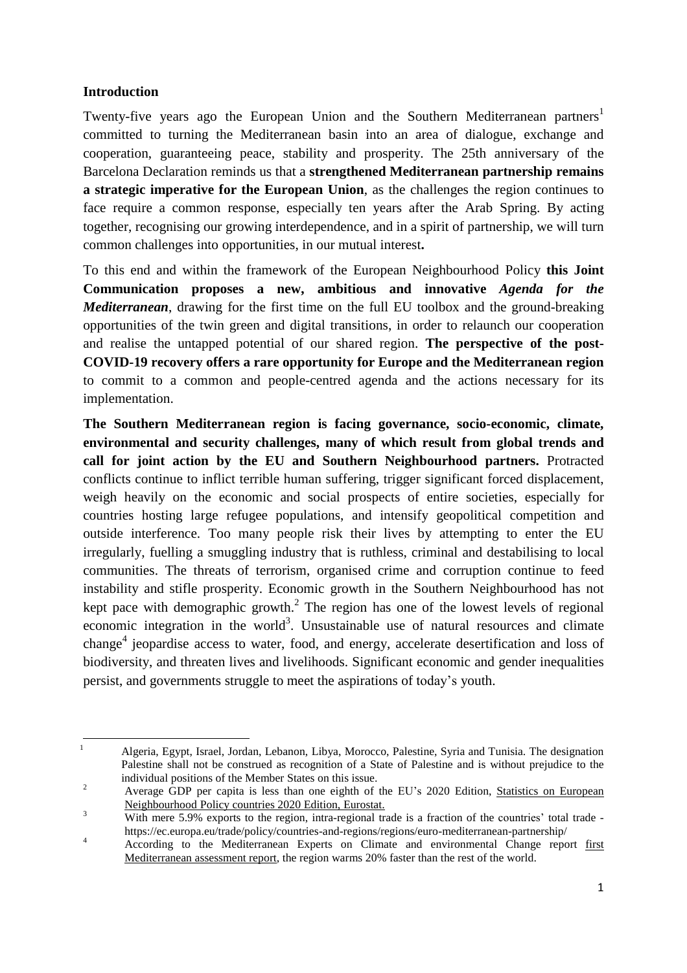### **Introduction**

Twenty-five years ago the European Union and the Southern Mediterranean partners<sup>1</sup> committed to turning the Mediterranean basin into an area of dialogue, exchange and cooperation, guaranteeing peace, stability and prosperity. The 25th anniversary of the Barcelona Declaration reminds us that a **strengthened Mediterranean partnership remains a strategic imperative for the European Union**, as the challenges the region continues to face require a common response, especially ten years after the Arab Spring. By acting together, recognising our growing interdependence, and in a spirit of partnership, we will turn common challenges into opportunities, in our mutual interest**.**

To this end and within the framework of the European Neighbourhood Policy **this Joint Communication proposes a new, ambitious and innovative** *Agenda for the Mediterranean*, drawing for the first time on the full EU toolbox and the ground-breaking opportunities of the twin green and digital transitions, in order to relaunch our cooperation and realise the untapped potential of our shared region. **The perspective of the post-COVID-19 recovery offers a rare opportunity for Europe and the Mediterranean region** to commit to a common and people-centred agenda and the actions necessary for its implementation.

**The Southern Mediterranean region is facing governance, socio-economic, climate, environmental and security challenges, many of which result from global trends and call for joint action by the EU and Southern Neighbourhood partners.** Protracted conflicts continue to inflict terrible human suffering, trigger significant forced displacement, weigh heavily on the economic and social prospects of entire societies, especially for countries hosting large refugee populations, and intensify geopolitical competition and outside interference. Too many people risk their lives by attempting to enter the EU irregularly, fuelling a smuggling industry that is ruthless, criminal and destabilising to local communities. The threats of terrorism, organised crime and corruption continue to feed instability and stifle prosperity. Economic growth in the Southern Neighbourhood has not kept pace with demographic growth.<sup>2</sup> The region has one of the lowest levels of regional economic integration in the world<sup>3</sup>. Unsustainable use of natural resources and climate change<sup>4</sup> jeopardise access to water, food, and energy, accelerate desertification and loss of biodiversity, and threaten lives and livelihoods. Significant economic and gender inequalities persist, and governments struggle to meet the aspirations of today's youth.

 $\mathbf{1}$ <sup>1</sup> Algeria, Egypt, Israel, Jordan, Lebanon, Libya, Morocco, Palestine, Syria and Tunisia. The designation Palestine shall not be construed as recognition of a State of Palestine and is without prejudice to the individual positions of the Member States on this issue.

<sup>&</sup>lt;sup>2</sup> Average GDP per capita is less than one eighth of the EU's 2020 Edition, Statistics on [European](https://ec.europa.eu/eurostat/documents/3217494/10880214/KS-01-20-301-EN-N.pdf/f4cdcf39-903e-e1b3-5472-a1f9e0231ff6?t=1591178674000) [Neighbourhood](https://ec.europa.eu/eurostat/documents/3217494/10880214/KS-01-20-301-EN-N.pdf/f4cdcf39-903e-e1b3-5472-a1f9e0231ff6?t=1591178674000) Policy countries 2020 Edition, Eurostat.

<sup>&</sup>lt;sup>3</sup><br>With mere 5.9% exports to the region, intra-regional trade is a fraction of the countries' total trade https://ec.europa.eu/trade/policy/countries-and-regions/regions/euro-mediterranean-partnership/

According to the Mediterranean Experts on Climate and environmental Change report [first](https://www.medecc.org/first-mediterranean-assessment-report-mar1/) [Mediterranean](https://www.medecc.org/first-mediterranean-assessment-report-mar1/) assessment report, the region warms 20% faster than the rest of the world.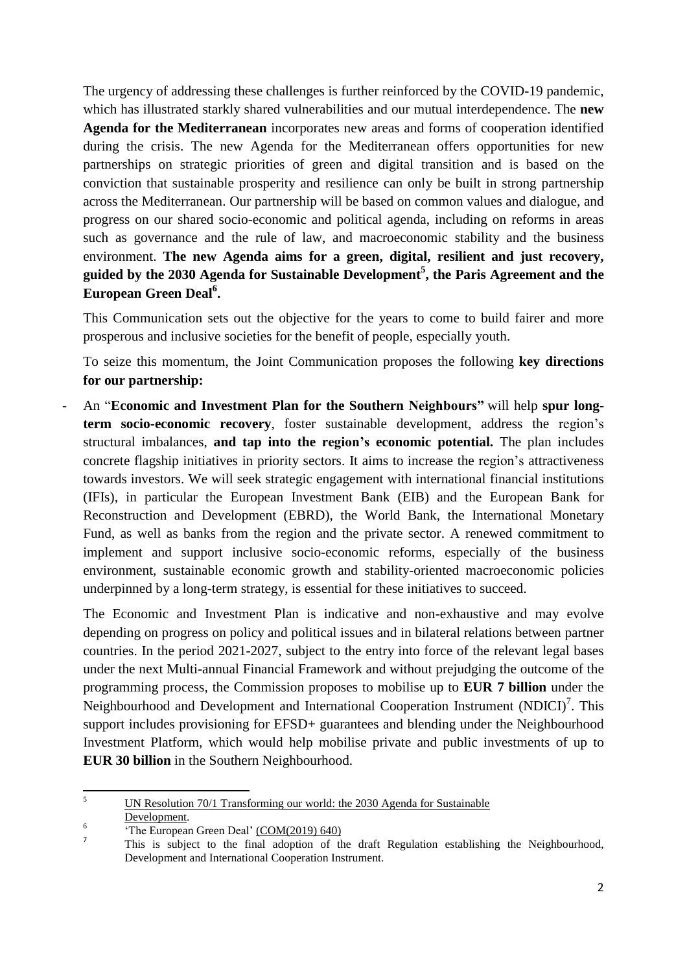The urgency of addressing these challenges is further reinforced by the COVID-19 pandemic, which has illustrated starkly shared vulnerabilities and our mutual interdependence. The **new Agenda for the Mediterranean** incorporates new areas and forms of cooperation identified during the crisis. The new Agenda for the Mediterranean offers opportunities for new partnerships on strategic priorities of green and digital transition and is based on the conviction that sustainable prosperity and resilience can only be built in strong partnership across the Mediterranean. Our partnership will be based on common values and dialogue, and progress on our shared socio-economic and political agenda, including on reforms in areas such as governance and the rule of law, and macroeconomic stability and the business environment. **The new Agenda aims for a green, digital, resilient and just recovery, guided by the 2030 Agenda for Sustainable Development<sup>5</sup> , the Paris Agreement and the European Green Deal<sup>6</sup> .**

This Communication sets out the objective for the years to come to build fairer and more prosperous and inclusive societies for the benefit of people, especially youth.

To seize this momentum, the Joint Communication proposes the following **key directions for our partnership:**

- An "**Economic and Investment Plan for the Southern Neighbours"** will help **spur longterm socio-economic recovery**, foster sustainable development, address the region's structural imbalances, **and tap into the region's economic potential.** The plan includes concrete flagship initiatives in priority sectors. It aims to increase the region's attractiveness towards investors. We will seek strategic engagement with international financial institutions (IFIs), in particular the European Investment Bank (EIB) and the European Bank for Reconstruction and Development (EBRD), the World Bank, the International Monetary Fund, as well as banks from the region and the private sector. A renewed commitment to implement and support inclusive socio-economic reforms, especially of the business environment, sustainable economic growth and stability-oriented macroeconomic policies underpinned by a long-term strategy, is essential for these initiatives to succeed.

The Economic and Investment Plan is indicative and non-exhaustive and may evolve depending on progress on policy and political issues and in bilateral relations between partner countries. In the period 2021-2027, subject to the entry into force of the relevant legal bases under the next Multi-annual Financial Framework and without prejudging the outcome of the programming process, the Commission proposes to mobilise up to **EUR 7 billion** under the Neighbourhood and Development and International Cooperation Instrument (NDICI)<sup>7</sup>. This support includes provisioning for EFSD+ guarantees and blending under the Neighbourhood Investment Platform, which would help mobilise private and public investments of up to **EUR 30 billion** in the Southern Neighbourhood.

 $\overline{5}$ <sup>5</sup> UN Resolution 70/1 [Transforming](https://www.un.org/ga/search/view_doc.asp?symbol=A/RES/70/1&Lang=E) our world: the 2030 Agenda for Sustainable [Development.](https://www.un.org/ga/search/view_doc.asp?symbol=A/RES/70/1&Lang=E)

<sup>6</sup> 'The European Green Deal' [\(COM\(2019\)](https://eur-lex.europa.eu/legal-content/EN/TXT/?uri=CELEX%3A52019DC0640) 640) 7

This is subject to the final adoption of the draft Regulation establishing the Neighbourhood, Development and International Cooperation Instrument.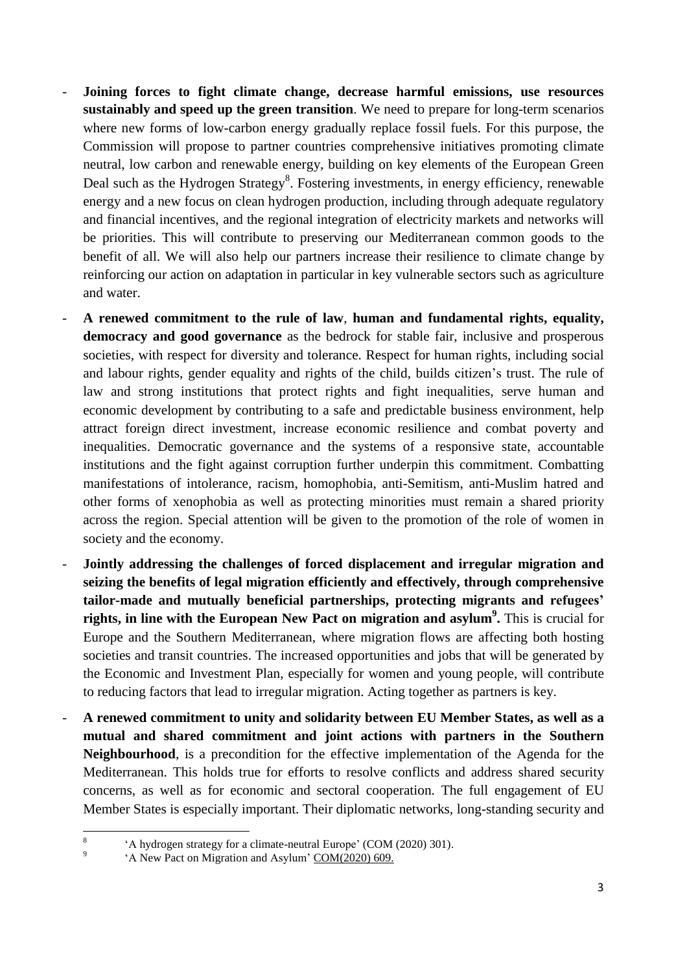- **Joining forces to fight climate change, decrease harmful emissions, use resources sustainably and speed up the green transition**. We need to prepare for long-term scenarios where new forms of low-carbon energy gradually replace fossil fuels. For this purpose, the Commission will propose to partner countries comprehensive initiatives promoting climate neutral, low carbon and renewable energy, building on key elements of the European Green Deal such as the Hydrogen Strategy<sup>8</sup>. Fostering investments, in energy efficiency, renewable energy and a new focus on clean hydrogen production, including through adequate regulatory and financial incentives, and the regional integration of electricity markets and networks will be priorities. This will contribute to preserving our Mediterranean common goods to the benefit of all. We will also help our partners increase their resilience to climate change by reinforcing our action on adaptation in particular in key vulnerable sectors such as agriculture and water.
- **A renewed commitment to the rule of law**, **human and fundamental rights, equality, democracy and good governance** as the bedrock for stable fair, inclusive and prosperous societies, with respect for diversity and tolerance. Respect for human rights, including social and labour rights, gender equality and rights of the child, builds citizen's trust. The rule of law and strong institutions that protect rights and fight inequalities, serve human and economic development by contributing to a safe and predictable business environment, help attract foreign direct investment, increase economic resilience and combat poverty and inequalities. Democratic governance and the systems of a responsive state, accountable institutions and the fight against corruption further underpin this commitment. Combatting manifestations of intolerance, racism, homophobia, anti-Semitism, anti-Muslim hatred and other forms of xenophobia as well as protecting minorities must remain a shared priority across the region. Special attention will be given to the promotion of the role of women in society and the economy.
- **Jointly addressing the challenges of forced displacement and irregular migration and seizing the benefits of legal migration efficiently and effectively, through comprehensive tailor-made and mutually beneficial partnerships, protecting migrants and refugees' rights, in line with the European New Pact on migration and asylum<sup>9</sup> .** This is crucial for Europe and the Southern Mediterranean, where migration flows are affecting both hosting societies and transit countries. The increased opportunities and jobs that will be generated by the Economic and Investment Plan, especially for women and young people, will contribute to reducing factors that lead to irregular migration. Acting together as partners is key.
- **A renewed commitment to unity and solidarity between EU Member States, as well as a mutual and shared commitment and joint actions with partners in the Southern Neighbourhood**, is a precondition for the effective implementation of the Agenda for the Mediterranean. This holds true for efforts to resolve conflicts and address shared security concerns, as well as for economic and sectoral cooperation. The full engagement of EU Member States is especially important. Their diplomatic networks, long-standing security and

 8 'A hydrogen strategy for a climate-neutral Europe' (COM (2020) 301).

<sup>9</sup> 'A New Pact on Migration and Asylum' [COM\(2020\)](https://eur-lex.europa.eu/legal-content/EN/TXT/?qid=1601287338054&uri=COM:2020:609:FIN) 609.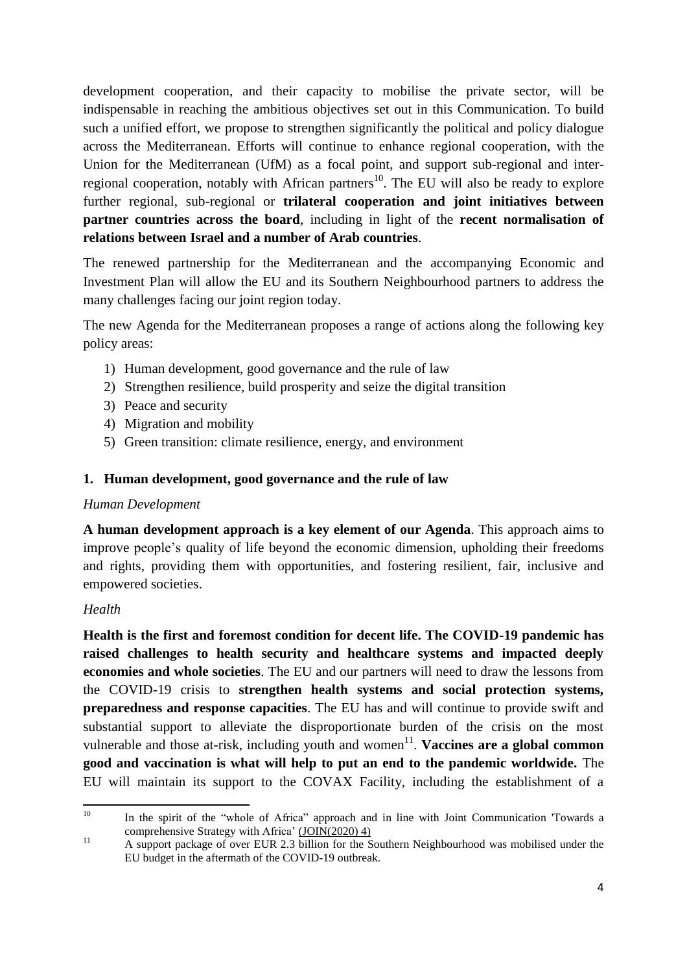development cooperation, and their capacity to mobilise the private sector, will be indispensable in reaching the ambitious objectives set out in this Communication. To build such a unified effort, we propose to strengthen significantly the political and policy dialogue across the Mediterranean. Efforts will continue to enhance regional cooperation, with the Union for the Mediterranean (UfM) as a focal point, and support sub-regional and interregional cooperation, notably with African partners<sup>10</sup>. The EU will also be ready to explore further regional, sub-regional or **trilateral cooperation and joint initiatives between partner countries across the board**, including in light of the **recent normalisation of relations between Israel and a number of Arab countries**.

The renewed partnership for the Mediterranean and the accompanying Economic and Investment Plan will allow the EU and its Southern Neighbourhood partners to address the many challenges facing our joint region today.

The new Agenda for the Mediterranean proposes a range of actions along the following key policy areas:

- 1) Human development, good governance and the rule of law
- 2) Strengthen resilience, build prosperity and seize the digital transition
- 3) Peace and security
- 4) Migration and mobility
- 5) Green transition: climate resilience, energy, and environment

### **1. Human development, good governance and the rule of law**

#### *Human Development*

**A human development approach is a key element of our Agenda**. This approach aims to improve people's quality of life beyond the economic dimension, upholding their freedoms and rights, providing them with opportunities, and fostering resilient, fair, inclusive and empowered societies.

### *Health*

**Health is the first and foremost condition for decent life. The COVID-19 pandemic has raised challenges to health security and healthcare systems and impacted deeply economies and whole societies**. The EU and our partners will need to draw the lessons from the COVID-19 crisis to **strengthen health systems and social protection systems, preparedness and response capacities**. The EU has and will continue to provide swift and substantial support to alleviate the disproportionate burden of the crisis on the most vulnerable and those at-risk, including youth and women<sup>11</sup>. Vaccines are a global common **good and vaccination is what will help to put an end to the pandemic worldwide.** The EU will maintain its support to the COVAX Facility, including the establishment of a

 $10<sup>1</sup>$ In the spirit of the "whole of Africa" approach and in line with Joint Communication 'Towards a comprehensive Strategy with Africa' [\(JOIN\(2020\)](https://eur-lex.europa.eu/legal-content/EN/TXT/?uri=CELEX%3A52020JC0004) 4)

<sup>&</sup>lt;sup>11</sup> A support package of over EUR 2.3 billion for the Southern Neighbourhood was mobilised under the EU budget in the aftermath of the COVID-19 outbreak.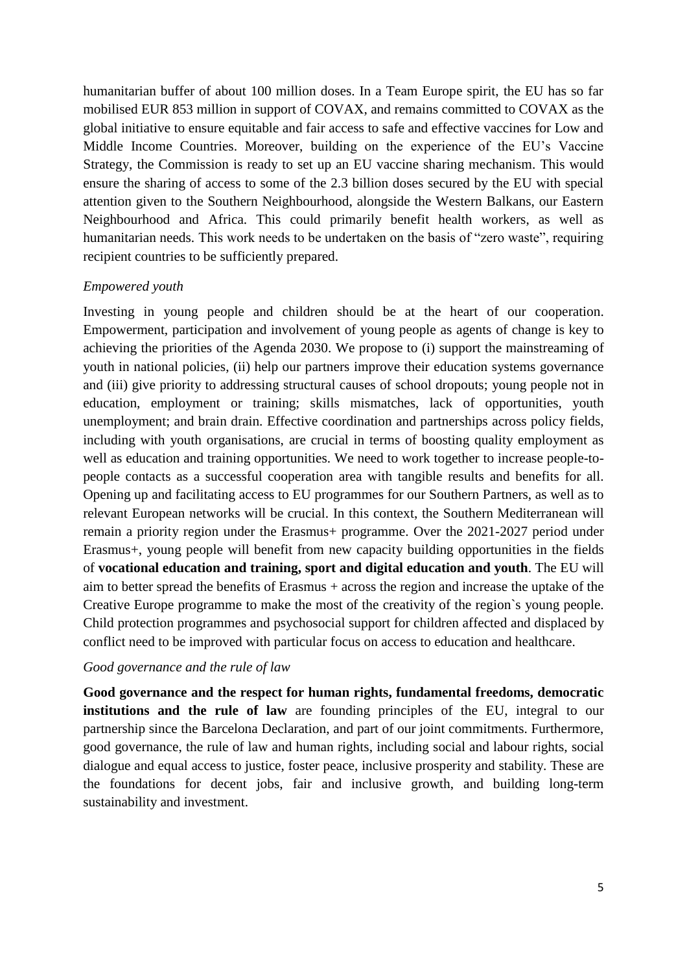humanitarian buffer of about 100 million doses. In a Team Europe spirit, the EU has so far mobilised EUR 853 million in support of COVAX, and remains committed to COVAX as the global initiative to ensure equitable and fair access to safe and effective vaccines for Low and Middle Income Countries. Moreover, building on the experience of the EU's Vaccine Strategy, the Commission is ready to set up an EU vaccine sharing mechanism. This would ensure the sharing of access to some of the 2.3 billion doses secured by the EU with special attention given to the Southern Neighbourhood, alongside the Western Balkans, our Eastern Neighbourhood and Africa. This could primarily benefit health workers, as well as humanitarian needs. This work needs to be undertaken on the basis of "zero waste", requiring recipient countries to be sufficiently prepared.

#### *Empowered youth*

Investing in young people and children should be at the heart of our cooperation. Empowerment, participation and involvement of young people as agents of change is key to achieving the priorities of the Agenda 2030. We propose to (i) support the mainstreaming of youth in national policies, (ii) help our partners improve their education systems governance and (iii) give priority to addressing structural causes of school dropouts; young people not in education, employment or training; skills mismatches, lack of opportunities, youth unemployment; and brain drain. Effective coordination and partnerships across policy fields, including with youth organisations, are crucial in terms of boosting quality employment as well as education and training opportunities. We need to work together to increase people-topeople contacts as a successful cooperation area with tangible results and benefits for all. Opening up and facilitating access to EU programmes for our Southern Partners, as well as to relevant European networks will be crucial. In this context, the Southern Mediterranean will remain a priority region under the Erasmus+ programme. Over the 2021-2027 period under Erasmus+, young people will benefit from new capacity building opportunities in the fields of **vocational education and training, sport and digital education and youth**. The EU will aim to better spread the benefits of Erasmus + across the region and increase the uptake of the Creative Europe programme to make the most of the creativity of the region`s young people. Child protection programmes and psychosocial support for children affected and displaced by conflict need to be improved with particular focus on access to education and healthcare.

#### *Good governance and the rule of law*

**Good governance and the respect for human rights, fundamental freedoms, democratic institutions and the rule of law** are founding principles of the EU, integral to our partnership since the Barcelona Declaration, and part of our joint commitments. Furthermore, good governance, the rule of law and human rights, including social and labour rights, social dialogue and equal access to justice, foster peace, inclusive prosperity and stability. These are the foundations for decent jobs, fair and inclusive growth, and building long-term sustainability and investment.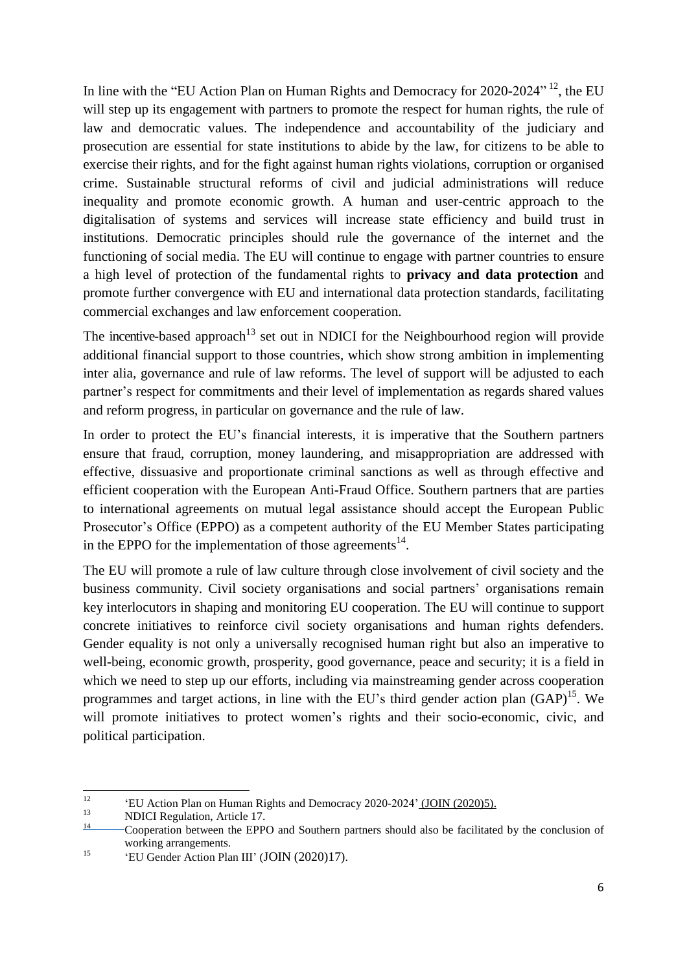In line with the "EU Action Plan on Human Rights and Democracy for 2020-2024"<sup>12</sup>, the EU will step up its engagement with partners to promote the respect for human rights, the rule of law and democratic values. The independence and accountability of the judiciary and prosecution are essential for state institutions to abide by the law, for citizens to be able to exercise their rights, and for the fight against human rights violations, corruption or organised crime. Sustainable structural reforms of civil and judicial administrations will reduce inequality and promote economic growth. A human and user-centric approach to the digitalisation of systems and services will increase state efficiency and build trust in institutions. Democratic principles should rule the governance of the internet and the functioning of social media. The EU will continue to engage with partner countries to ensure a high level of protection of the fundamental rights to **privacy and data protection** and promote further convergence with EU and international data protection standards, facilitating commercial exchanges and law enforcement cooperation.

The incentive-based approach<sup>13</sup> set out in NDICI for the Neighbourhood region will provide additional financial support to those countries, which show strong ambition in implementing inter alia, governance and rule of law reforms. The level of support will be adjusted to each partner's respect for commitments and their level of implementation as regards shared values and reform progress, in particular on governance and the rule of law.

In order to protect the EU's financial interests, it is imperative that the Southern partners ensure that fraud, corruption, money laundering, and misappropriation are addressed with effective, dissuasive and proportionate criminal sanctions as well as through effective and efficient cooperation with the European Anti-Fraud Office. Southern partners that are parties to international agreements on mutual legal assistance should accept the European Public Prosecutor's Office (EPPO) as a competent authority of the EU Member States participating in the EPPO for the implementation of those agreements $^{14}$ .

The EU will promote a rule of law culture through close involvement of civil society and the business community. Civil society organisations and social partners' organisations remain key interlocutors in shaping and monitoring EU cooperation. The EU will continue to support concrete initiatives to reinforce civil society organisations and human rights defenders. Gender equality is not only a universally recognised human right but also an imperative to well-being, economic growth, prosperity, good governance, peace and security; it is a field in which we need to step up our efforts, including via mainstreaming gender across cooperation programmes and target actions, in line with the EU's third gender action plan  $(GAP)^{15}$ . We will promote initiatives to protect women's rights and their socio-economic, civic, and political participation.

 $12$ <sup>12</sup>  $E$ <sup>12</sup> **EU** Action Plan on Human Rights and Democracy 2020-2024' (JOIN [\(2020\)5\).](https://eur-lex.europa.eu/legal-content/EN/TXT/?uri=CELEX%3A52020JC0005)

 $13$  NDICI Regulation, Article 17.

<sup>14</sup> Cooperation between the EPPO and Southern partners should also be facilitated by the conclusion of working arrangements.

<sup>&</sup>lt;sup>15</sup> 'EU Gender Action Plan III' (JOIN  $(2020)17$ ).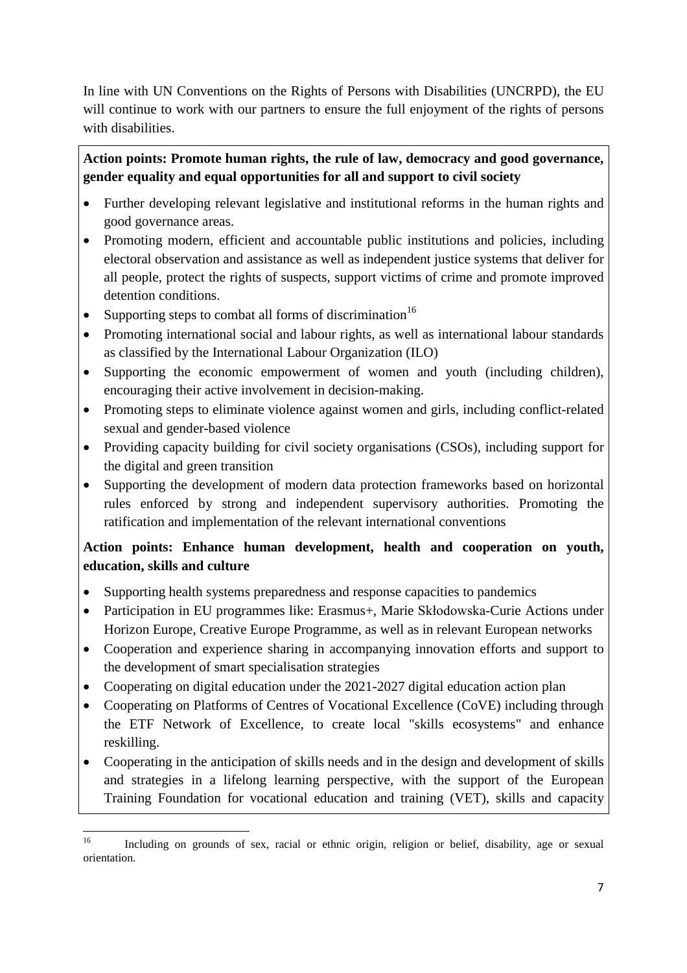In line with UN Conventions on the Rights of Persons with Disabilities (UNCRPD), the EU will continue to work with our partners to ensure the full enjoyment of the rights of persons with disabilities.

# **Action points: Promote human rights, the rule of law, democracy and good governance, gender equality and equal opportunities for all and support to civil society**

- Further developing relevant legislative and institutional reforms in the human rights and good governance areas.
- Promoting modern, efficient and accountable public institutions and policies, including electoral observation and assistance as well as independent justice systems that deliver for all people, protect the rights of suspects, support victims of crime and promote improved detention conditions.
- Supporting steps to combat all forms of discrimination<sup>16</sup>
- Promoting international social and labour rights, as well as international labour standards as classified by the International Labour Organization (ILO)
- Supporting the economic empowerment of women and youth (including children), encouraging their active involvement in decision-making.
- Promoting steps to eliminate violence against women and girls, including conflict-related sexual and gender-based violence
- Providing capacity building for civil society organisations (CSOs), including support for the digital and green transition
- Supporting the development of modern data protection frameworks based on horizontal rules enforced by strong and independent supervisory authorities. Promoting the ratification and implementation of the relevant international conventions

# **Action points: Enhance human development, health and cooperation on youth, education, skills and culture**

- Supporting health systems preparedness and response capacities to pandemics
- Participation in EU programmes like: Erasmus+, Marie Skłodowska-Curie Actions under Horizon Europe, Creative Europe Programme, as well as in relevant European networks
- Cooperation and experience sharing in accompanying innovation efforts and support to the development of smart specialisation strategies
- Cooperating on digital education under the 2021-2027 digital education action plan
- Cooperating on Platforms of Centres of Vocational Excellence (CoVE) including through the ETF Network of Excellence, to create local "skills ecosystems" and enhance reskilling.
- Cooperating in the anticipation of skills needs and in the design and development of skills and strategies in a lifelong learning perspective, with the support of the European Training Foundation for vocational education and training (VET), skills and capacity

 $16\,$ <sup>16</sup> Including on grounds of sex, racial or ethnic origin, religion or belief, disability, age or sexual orientation.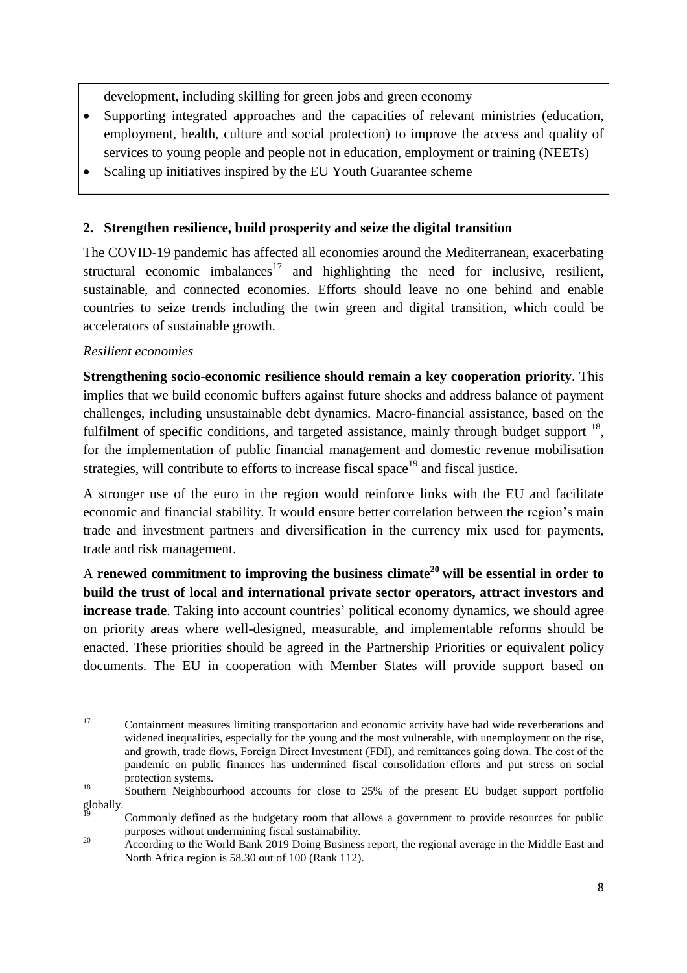development, including skilling for green jobs and green economy

- Supporting integrated approaches and the capacities of relevant ministries (education, employment, health, culture and social protection) to improve the access and quality of services to young people and people not in education, employment or training (NEETs)
- Scaling up initiatives inspired by the EU Youth Guarantee scheme

### **2. Strengthen resilience, build prosperity and seize the digital transition**

The COVID-19 pandemic has affected all economies around the Mediterranean, exacerbating structural economic imbalances<sup>17</sup> and highlighting the need for inclusive, resilient, sustainable, and connected economies. Efforts should leave no one behind and enable countries to seize trends including the twin green and digital transition, which could be accelerators of sustainable growth.

### *Resilient economies*

**Strengthening socio-economic resilience should remain a key cooperation priority**. This implies that we build economic buffers against future shocks and address balance of payment challenges, including unsustainable debt dynamics. Macro-financial assistance, based on the fulfilment of specific conditions, and targeted assistance, mainly through budget support  $^{18}$ , for the implementation of public financial management and domestic revenue mobilisation strategies, will contribute to efforts to increase fiscal space<sup>19</sup> and fiscal justice.

A stronger use of the euro in the region would reinforce links with the EU and facilitate economic and financial stability. It would ensure better correlation between the region's main trade and investment partners and diversification in the currency mix used for payments, trade and risk management.

A **renewed commitment to improving the business climate<sup>20</sup> will be essential in order to build the trust of local and international private sector operators, attract investors and increase trade**. Taking into account countries' political economy dynamics, we should agree on priority areas where well-designed, measurable, and implementable reforms should be enacted. These priorities should be agreed in the Partnership Priorities or equivalent policy documents. The EU in cooperation with Member States will provide support based on

<sup>17</sup> <sup>17</sup> Containment measures limiting transportation and economic activity have had wide reverberations and widened inequalities, especially for the young and the most vulnerable, with unemployment on the rise, and growth, trade flows, Foreign Direct Investment (FDI), and remittances going down. The cost of the pandemic on public finances has undermined fiscal consolidation efforts and put stress on social protection systems.

<sup>&</sup>lt;sup>18</sup> Southern Neighbourhood accounts for close to 25% of the present EU budget support portfolio globally.

<sup>19</sup> Commonly defined as the budgetary room that allows a government to provide resources for public purposes without undermining fiscal sustainability.

<sup>&</sup>lt;sup>20</sup> According to the <u>World Bank 2019 Doing [Business](https://www.doingbusiness.org/content/dam/doingBusiness/media/Annual-Reports/English/DB2019-report_web-version.pdf) report</u>, the regional average in the Middle East and North Africa region is 58.30 out of 100 (Rank 112).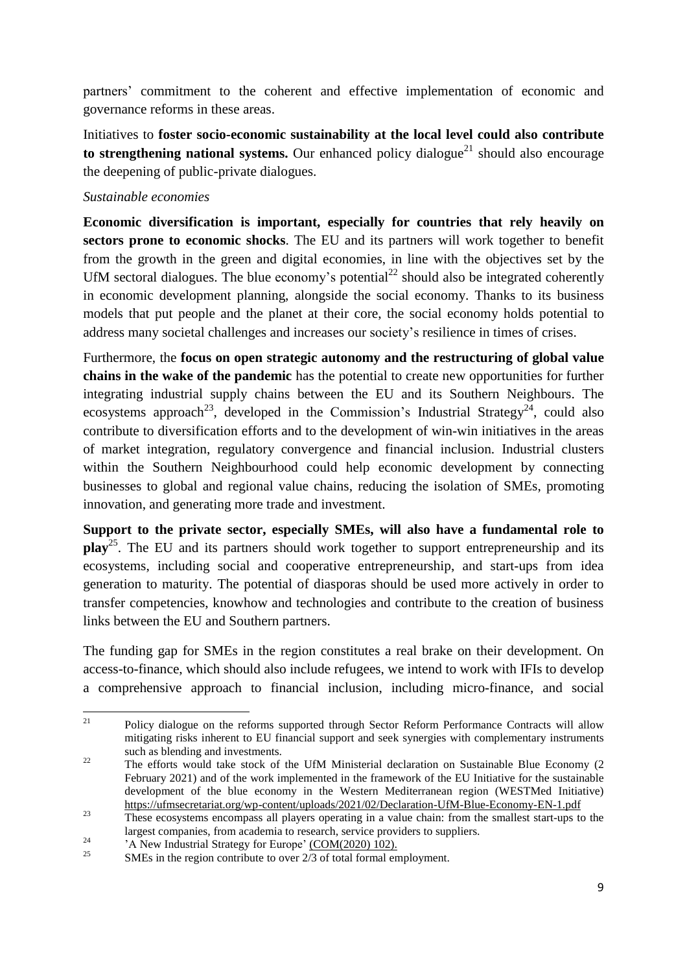partners' commitment to the coherent and effective implementation of economic and governance reforms in these areas.

Initiatives to **foster socio-economic sustainability at the local level could also contribute to strengthening national systems.** Our enhanced policy dialogue<sup>21</sup> should also encourage the deepening of public-private dialogues.

#### *Sustainable economies*

**Economic diversification is important, especially for countries that rely heavily on sectors prone to economic shocks**. The EU and its partners will work together to benefit from the growth in the green and digital economies, in line with the objectives set by the UfM sectoral dialogues. The blue economy's potential<sup>22</sup> should also be integrated coherently in economic development planning, alongside the social economy. Thanks to its business models that put people and the planet at their core, the social economy holds potential to address many societal challenges and increases our society's resilience in times of crises.

Furthermore, the **focus on open strategic autonomy and the restructuring of global value chains in the wake of the pandemic** has the potential to create new opportunities for further integrating industrial supply chains between the EU and its Southern Neighbours. The ecosystems approach<sup>23</sup>, developed in the Commission's Industrial Strategy<sup>24</sup>, could also contribute to diversification efforts and to the development of win-win initiatives in the areas of market integration, regulatory convergence and financial inclusion. Industrial clusters within the Southern Neighbourhood could help economic development by connecting businesses to global and regional value chains, reducing the isolation of SMEs, promoting innovation, and generating more trade and investment.

**Support to the private sector, especially SMEs, will also have a fundamental role to play**<sup>25</sup> . The EU and its partners should work together to support entrepreneurship and its ecosystems, including social and cooperative entrepreneurship, and start-ups from idea generation to maturity. The potential of diasporas should be used more actively in order to transfer competencies, knowhow and technologies and contribute to the creation of business links between the EU and Southern partners.

The funding gap for SMEs in the region constitutes a real brake on their development. On access-to-finance, which should also include refugees, we intend to work with IFIs to develop a comprehensive approach to financial inclusion, including micro-finance, and social

 $21$ <sup>21</sup> Policy dialogue on the reforms supported through Sector Reform Performance Contracts will allow mitigating risks inherent to EU financial support and seek synergies with complementary instruments such as blending and investments.

<sup>&</sup>lt;sup>22</sup> The efforts would take stock of the UfM Ministerial declaration on Sustainable Blue Economy (2 February 2021) and of the work implemented in the framework of the EU Initiative for the sustainable development of the blue economy in the Western Mediterranean region (WESTMed Initiative) <https://ufmsecretariat.org/wp-content/uploads/2021/02/Declaration-UfM-Blue-Economy-EN-1.pdf>

<sup>&</sup>lt;sup>23</sup><br>These ecosystems encompass all players operating in a value chain: from the smallest start-ups to the largest companies, from academia to research, service providers to suppliers.

<sup>&</sup>lt;sup>24</sup><br>A New Industrial Strategy for Europe' <u>[\(COM\(2020\)](https://eur-lex.europa.eu/legal-content/EN/TXT/?uri=CELEX:52020DC0102) 102).</u><br> $^{25}$ 

SMEs in the region contribute to over 2/3 of total formal employment.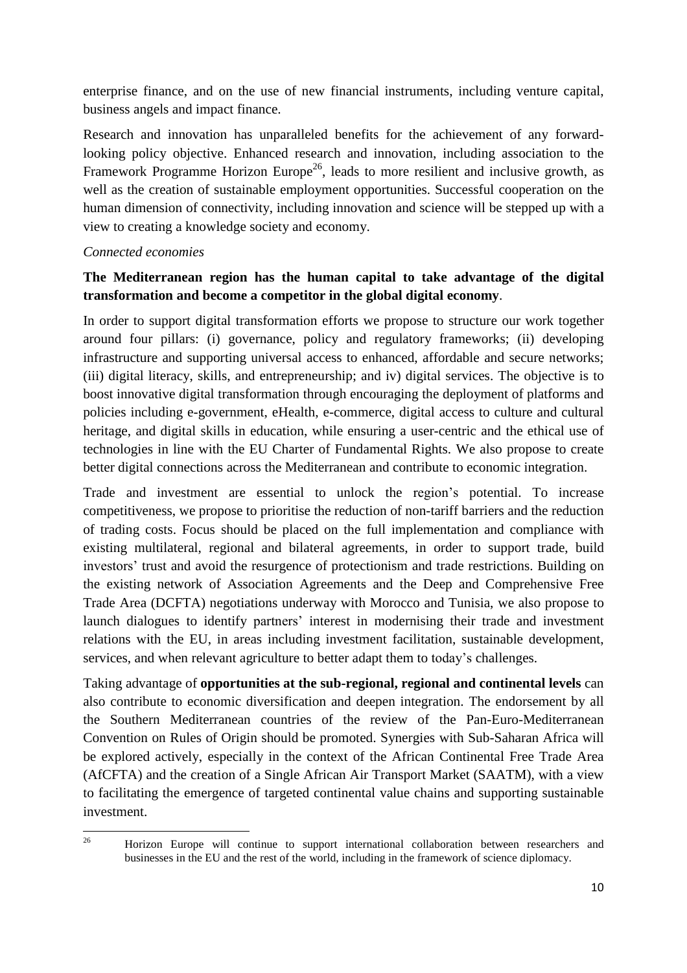enterprise finance, and on the use of new financial instruments, including venture capital, business angels and impact finance.

Research and innovation has unparalleled benefits for the achievement of any forwardlooking policy objective. Enhanced research and innovation, including association to the Framework Programme Horizon Europe<sup>26</sup>, leads to more resilient and inclusive growth, as well as the creation of sustainable employment opportunities. Successful cooperation on the human dimension of connectivity, including innovation and science will be stepped up with a view to creating a knowledge society and economy.

### *Connected economies*

## **The Mediterranean region has the human capital to take advantage of the digital transformation and become a competitor in the global digital economy**.

In order to support digital transformation efforts we propose to structure our work together around four pillars: (i) governance, policy and regulatory frameworks; (ii) developing infrastructure and supporting universal access to enhanced, affordable and secure networks; (iii) digital literacy, skills, and entrepreneurship; and iv) digital services. The objective is to boost innovative digital transformation through encouraging the deployment of platforms and policies including e-government, eHealth, e-commerce, digital access to culture and cultural heritage, and digital skills in education, while ensuring a user-centric and the ethical use of technologies in line with the EU Charter of Fundamental Rights. We also propose to create better digital connections across the Mediterranean and contribute to economic integration.

Trade and investment are essential to unlock the region's potential. To increase competitiveness, we propose to prioritise the reduction of non-tariff barriers and the reduction of trading costs. Focus should be placed on the full implementation and compliance with existing multilateral, regional and bilateral agreements, in order to support trade, build investors' trust and avoid the resurgence of protectionism and trade restrictions. Building on the existing network of Association Agreements and the Deep and Comprehensive Free Trade Area (DCFTA) negotiations underway with Morocco and Tunisia, we also propose to launch dialogues to identify partners' interest in modernising their trade and investment relations with the EU, in areas including investment facilitation, sustainable development, services, and when relevant agriculture to better adapt them to today's challenges.

Taking advantage of **opportunities at the sub-regional, regional and continental levels** can also contribute to economic diversification and deepen integration. The endorsement by all the Southern Mediterranean countries of the review of the Pan-Euro-Mediterranean Convention on Rules of Origin should be promoted. Synergies with Sub-Saharan Africa will be explored actively, especially in the context of the African Continental Free Trade Area (AfCFTA) and the creation of a Single African Air Transport Market (SAATM), with a view to facilitating the emergence of targeted continental value chains and supporting sustainable investment.

<sup>26</sup> <sup>26</sup> Horizon Europe will continue to support international collaboration between researchers and businesses in the EU and the rest of the world, including in the framework of science diplomacy.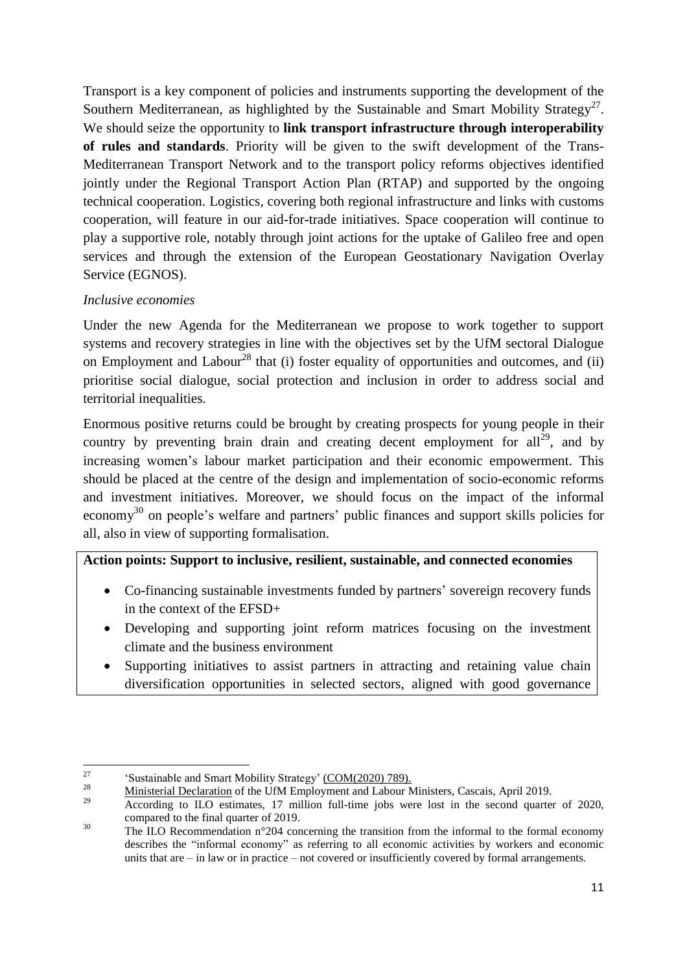Transport is a key component of policies and instruments supporting the development of the Southern Mediterranean, as highlighted by the Sustainable and Smart Mobility Strategy<sup>27</sup>. We should seize the opportunity to **link transport infrastructure through interoperability of rules and standards**. Priority will be given to the swift development of the Trans-Mediterranean Transport Network and to the transport policy reforms objectives identified jointly under the Regional Transport Action Plan (RTAP) and supported by the ongoing technical cooperation. Logistics, covering both regional infrastructure and links with customs cooperation, will feature in our aid-for-trade initiatives. Space cooperation will continue to play a supportive role, notably through joint actions for the uptake of Galileo free and open services and through the extension of the European Geostationary Navigation Overlay Service (EGNOS).

### *Inclusive economies*

Under the new Agenda for the Mediterranean we propose to work together to support systems and recovery strategies in line with the objectives set by the UfM sectoral Dialogue on Employment and Labour<sup>28</sup> that (i) foster equality of opportunities and outcomes, and (ii) prioritise social dialogue, social protection and inclusion in order to address social and territorial inequalities.

Enormous positive returns could be brought by creating prospects for young people in their country by preventing brain drain and creating decent employment for all<sup>29</sup>, and by increasing women's labour market participation and their economic empowerment. This should be placed at the centre of the design and implementation of socio-economic reforms and investment initiatives. Moreover, we should focus on the impact of the informal economy<sup>30</sup> on people's welfare and partners' public finances and support skills policies for all, also in view of supporting formalisation.

## **Action points: Support to inclusive, resilient, sustainable, and connected economies**

- Co-financing sustainable investments funded by partners' sovereign recovery funds in the context of the EFSD+
- Developing and supporting joint reform matrices focusing on the investment climate and the business environment
- Supporting initiatives to assist partners in attracting and retaining value chain diversification opportunities in selected sectors, aligned with good governance

<sup>27</sup> <sup>27</sup><br>
<sup>28</sup> 'Sustainable and Smart Mobility Strategy' [\(COM\(2020\)](https://eur-lex.europa.eu/legal-content/EN/TXT/?uri=COM:2020:789:FIN) 789).<br>
Ministerial Declaration of the UfM Employment and Labour

 $\frac{28}{29}$  Ministerial [Declaration](https://ufmsecretariat.org/wp-content/uploads/2019/04/Ministerial-Declaration-EN-1.pdf) of the UfM Employment and Labour Ministers, Cascais, April 2019.

<sup>29</sup> According to ILO estimates, 17 million full-time jobs were lost in the second quarter of 2020, compared to the final quarter of 2019.

<sup>&</sup>lt;sup>30</sup> The ILO Recommendation n°204 concerning the transition from the informal to the formal economy describes the "informal economy" as referring to all economic activities by workers and economic units that are – in law or in practice – not covered or insufficiently covered by formal arrangements.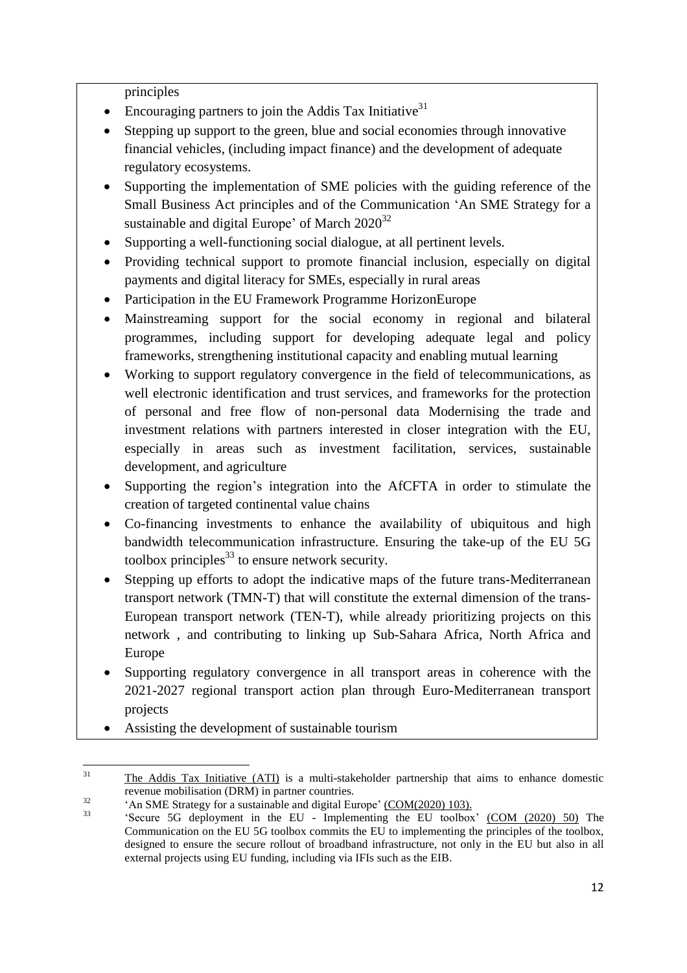principles

- Encouraging partners to join the Addis Tax Initiative<sup>31</sup>
- Stepping up support to the green, blue and social economies through innovative financial vehicles, (including impact finance) and the development of adequate regulatory ecosystems.
- Supporting the implementation of SME policies with the guiding reference of the Small Business Act principles and of the Communication 'An SME Strategy for a sustainable and digital Europe' of March  $2020^{32}$
- Supporting a well-functioning social dialogue, at all pertinent levels.
- Providing technical support to promote financial inclusion, especially on digital payments and digital literacy for SMEs, especially in rural areas
- Participation in the EU Framework Programme HorizonEurope
- Mainstreaming support for the social economy in regional and bilateral programmes, including support for developing adequate legal and policy frameworks, strengthening institutional capacity and enabling mutual learning
- Working to support regulatory convergence in the field of telecommunications, as well electronic identification and trust services, and frameworks for the protection of personal and free flow of non-personal data Modernising the trade and investment relations with partners interested in closer integration with the EU, especially in areas such as investment facilitation, services, sustainable development, and agriculture
- Supporting the region's integration into the AfCFTA in order to stimulate the creation of targeted continental value chains
- Co-financing investments to enhance the availability of ubiquitous and high bandwidth telecommunication infrastructure. Ensuring the take-up of the EU 5G toolbox principles $^{33}$  to ensure network security.
- Stepping up efforts to adopt the indicative maps of the future trans-Mediterranean transport network (TMN-T) that will constitute the external dimension of the trans-European transport network (TEN-T), while already prioritizing projects on this network , and contributing to linking up Sub-Sahara Africa, North Africa and Europe
- Supporting regulatory convergence in all transport areas in coherence with the 2021-2027 regional transport action plan through Euro-Mediterranean transport projects
- Assisting the development of sustainable tourism

 $31$ The Addis Tax [Initiative](https://www.addistaxinitiative.net/about) (ATI) is a multi-stakeholder partnership that aims to enhance domestic revenue mobilisation (DRM) in partner countries.

 $\frac{32}{133}$  . An SME Strategy for a sustainable and digital Europe' [\(COM\(2020\)](https://eur-lex.europa.eu/legal-content/EN/TXT/?uri=CELEX:52020DC0103) 103).

<sup>33</sup> 'Secure 5G deployment in the EU - Implementing the EU toolbox' (COM [\(2020\)](https://ec.europa.eu/newsroom/dae/document.cfm?doc_id=64481) 50) The Communication on the EU 5G toolbox commits the EU to implementing the principles of the toolbox, designed to ensure the secure rollout of broadband infrastructure, not only in the EU but also in all external projects using EU funding, including via IFIs such as the EIB.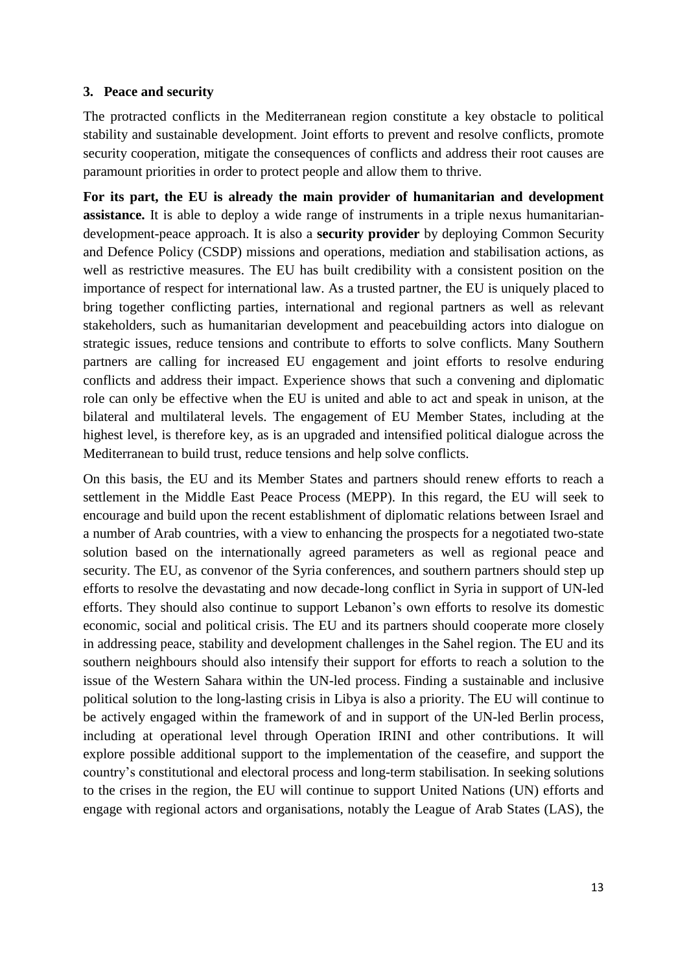#### **3. Peace and security**

The protracted conflicts in the Mediterranean region constitute a key obstacle to political stability and sustainable development. Joint efforts to prevent and resolve conflicts, promote security cooperation, mitigate the consequences of conflicts and address their root causes are paramount priorities in order to protect people and allow them to thrive.

**For its part, the EU is already the main provider of humanitarian and development assistance.** It is able to deploy a wide range of instruments in a triple nexus humanitariandevelopment-peace approach. It is also a **security provider** by deploying Common Security and Defence Policy (CSDP) missions and operations, mediation and stabilisation actions, as well as restrictive measures. The EU has built credibility with a consistent position on the importance of respect for international law. As a trusted partner, the EU is uniquely placed to bring together conflicting parties, international and regional partners as well as relevant stakeholders, such as humanitarian development and peacebuilding actors into dialogue on strategic issues, reduce tensions and contribute to efforts to solve conflicts. Many Southern partners are calling for increased EU engagement and joint efforts to resolve enduring conflicts and address their impact. Experience shows that such a convening and diplomatic role can only be effective when the EU is united and able to act and speak in unison, at the bilateral and multilateral levels. The engagement of EU Member States, including at the highest level, is therefore key, as is an upgraded and intensified political dialogue across the Mediterranean to build trust, reduce tensions and help solve conflicts.

On this basis, the EU and its Member States and partners should renew efforts to reach a settlement in the Middle East Peace Process (MEPP). In this regard, the EU will seek to encourage and build upon the recent establishment of diplomatic relations between Israel and a number of Arab countries, with a view to enhancing the prospects for a negotiated two-state solution based on the internationally agreed parameters as well as regional peace and security. The EU, as convenor of the Syria conferences, and southern partners should step up efforts to resolve the devastating and now decade-long conflict in Syria in support of UN-led efforts. They should also continue to support Lebanon's own efforts to resolve its domestic economic, social and political crisis. The EU and its partners should cooperate more closely in addressing peace, stability and development challenges in the Sahel region. The EU and its southern neighbours should also intensify their support for efforts to reach a solution to the issue of the Western Sahara within the UN-led process. Finding a sustainable and inclusive political solution to the long-lasting crisis in Libya is also a priority. The EU will continue to be actively engaged within the framework of and in support of the UN-led Berlin process, including at operational level through Operation IRINI and other contributions. It will explore possible additional support to the implementation of the ceasefire, and support the country's constitutional and electoral process and long-term stabilisation. In seeking solutions to the crises in the region, the EU will continue to support United Nations (UN) efforts and engage with regional actors and organisations, notably the League of Arab States (LAS), the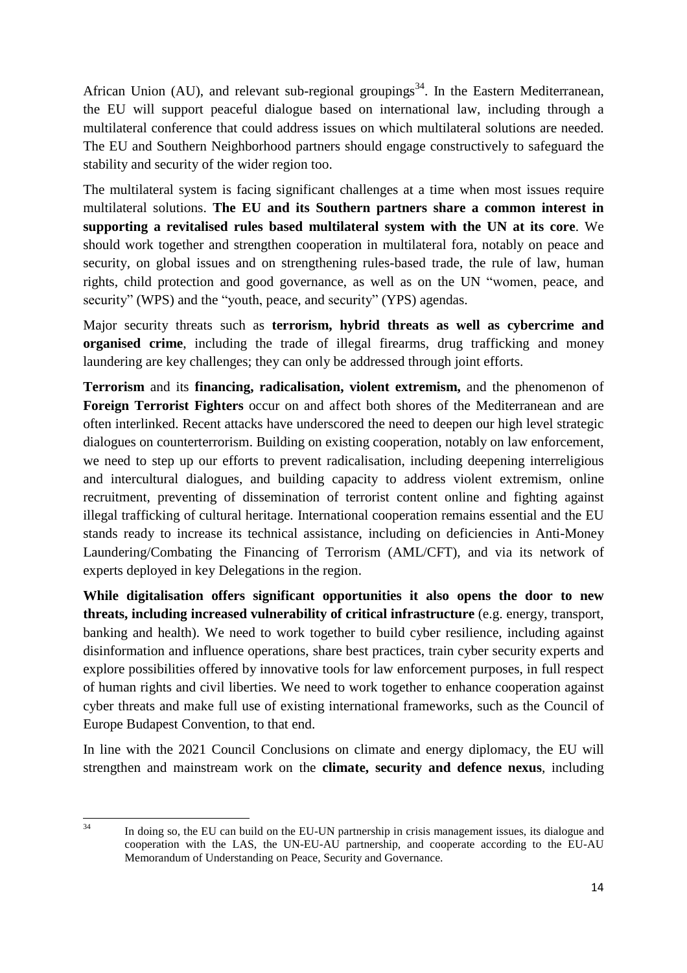African Union (AU), and relevant sub-regional groupings<sup>34</sup>. In the Eastern Mediterranean, the EU will support peaceful dialogue based on international law, including through a multilateral conference that could address issues on which multilateral solutions are needed. The EU and Southern Neighborhood partners should engage constructively to safeguard the stability and security of the wider region too.

The multilateral system is facing significant challenges at a time when most issues require multilateral solutions. **The EU and its Southern partners share a common interest in supporting a revitalised rules based multilateral system with the UN at its core**. We should work together and strengthen cooperation in multilateral fora, notably on peace and security, on global issues and on strengthening rules-based trade, the rule of law, human rights, child protection and good governance, as well as on the UN "women, peace, and security" (WPS) and the "youth, peace, and security" (YPS) agendas.

Major security threats such as **terrorism, hybrid threats as well as cybercrime and organised crime**, including the trade of illegal firearms, drug trafficking and money laundering are key challenges; they can only be addressed through joint efforts.

**Terrorism** and its **financing, radicalisation, violent extremism,** and the phenomenon of **Foreign Terrorist Fighters** occur on and affect both shores of the Mediterranean and are often interlinked. Recent attacks have underscored the need to deepen our high level strategic dialogues on counterterrorism. Building on existing cooperation, notably on law enforcement, we need to step up our efforts to prevent radicalisation, including deepening interreligious and intercultural dialogues, and building capacity to address violent extremism, online recruitment, preventing of dissemination of terrorist content online and fighting against illegal trafficking of cultural heritage. International cooperation remains essential and the EU stands ready to increase its technical assistance, including on deficiencies in Anti-Money Laundering/Combating the Financing of Terrorism (AML/CFT), and via its network of experts deployed in key Delegations in the region.

**While digitalisation offers significant opportunities it also opens the door to new threats, including increased vulnerability of critical infrastructure** (e.g. energy, transport, banking and health). We need to work together to build cyber resilience, including against disinformation and influence operations, share best practices, train cyber security experts and explore possibilities offered by innovative tools for law enforcement purposes, in full respect of human rights and civil liberties. We need to work together to enhance cooperation against cyber threats and make full use of existing international frameworks, such as the Council of Europe Budapest Convention, to that end.

In line with the 2021 Council Conclusions on climate and energy diplomacy, the EU will strengthen and mainstream work on the **climate, security and defence nexus**, including

<sup>34</sup> In doing so, the EU can build on the EU-UN partnership in crisis management issues, its dialogue and cooperation with the LAS, the UN-EU-AU partnership, and cooperate according to the EU-AU Memorandum of Understanding on Peace, Security and Governance.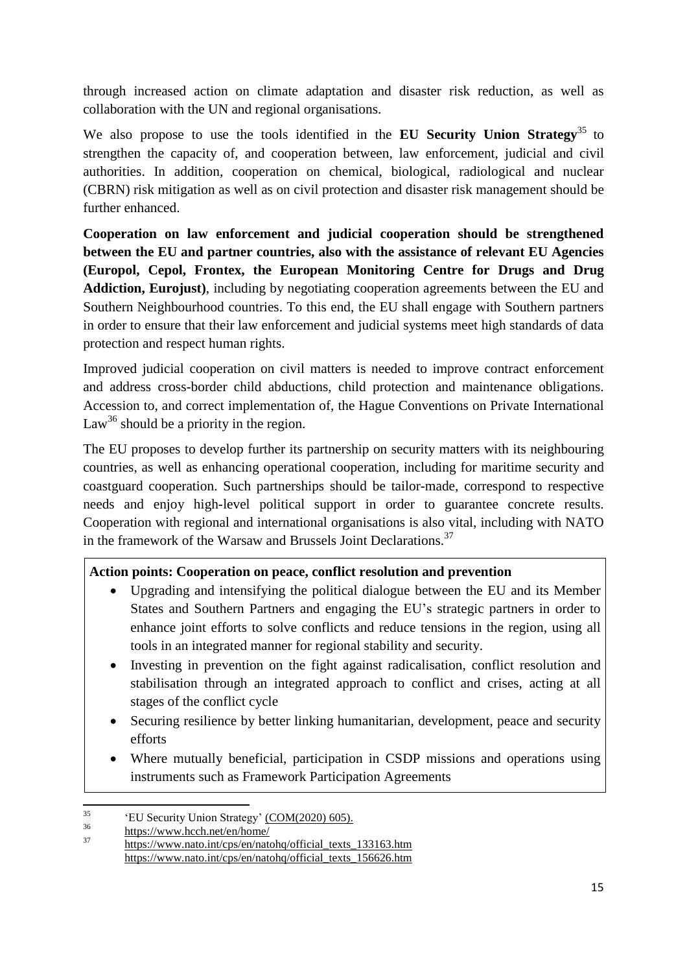through increased action on climate adaptation and disaster risk reduction, as well as collaboration with the UN and regional organisations.

We also propose to use the tools identified in the **EU Security Union Strategy**<sup>35</sup> to strengthen the capacity of, and cooperation between, law enforcement, judicial and civil authorities. In addition, cooperation on chemical, biological, radiological and nuclear (CBRN) risk mitigation as well as on civil protection and disaster risk management should be further enhanced.

**Cooperation on law enforcement and judicial cooperation should be strengthened between the EU and partner countries, also with the assistance of relevant EU Agencies (Europol, Cepol, Frontex, the European Monitoring Centre for Drugs and Drug Addiction, Eurojust)**, including by negotiating cooperation agreements between the EU and Southern Neighbourhood countries. To this end, the EU shall engage with Southern partners in order to ensure that their law enforcement and judicial systems meet high standards of data protection and respect human rights.

Improved judicial cooperation on civil matters is needed to improve contract enforcement and address cross-border child abductions, child protection and maintenance obligations. Accession to, and correct implementation of, the Hague Conventions on Private International Law<sup>36</sup> should be a priority in the region.

The EU proposes to develop further its partnership on security matters with its neighbouring countries, as well as enhancing operational cooperation, including for maritime security and coastguard cooperation. Such partnerships should be tailor-made, correspond to respective needs and enjoy high-level political support in order to guarantee concrete results. Cooperation with regional and international organisations is also vital, including with NATO in the framework of the Warsaw and Brussels Joint Declarations.<sup>37</sup>

## **Action points: Cooperation on peace, conflict resolution and prevention**

- Upgrading and intensifying the political dialogue between the EU and its Member States and Southern Partners and engaging the EU's strategic partners in order to enhance joint efforts to solve conflicts and reduce tensions in the region, using all tools in an integrated manner for regional stability and security.
- Investing in prevention on the fight against radicalisation, conflict resolution and stabilisation through an integrated approach to conflict and crises, acting at all stages of the conflict cycle
- Securing resilience by better linking humanitarian, development, peace and security efforts
- Where mutually beneficial, participation in CSDP missions and operations using instruments such as Framework Participation Agreements

 $35$  $^{35}$  'EU Security Union Strategy' [\(COM\(2020\)](https://eur-lex.europa.eu/legal-content/EN/TXT/?qid=1596452256370&uri=CELEX:52020DC0605) 605).

 $\frac{36}{37}$  <https://www.hcch.net/en/home/>

[https://www.nato.int/cps/en/natohq/official\\_texts\\_133163.htm](https://www.nato.int/cps/en/natohq/official_texts_133163.htm) [https://www.nato.int/cps/en/natohq/official\\_texts\\_156626.htm](https://www.nato.int/cps/en/natohq/official_texts_156626.htm)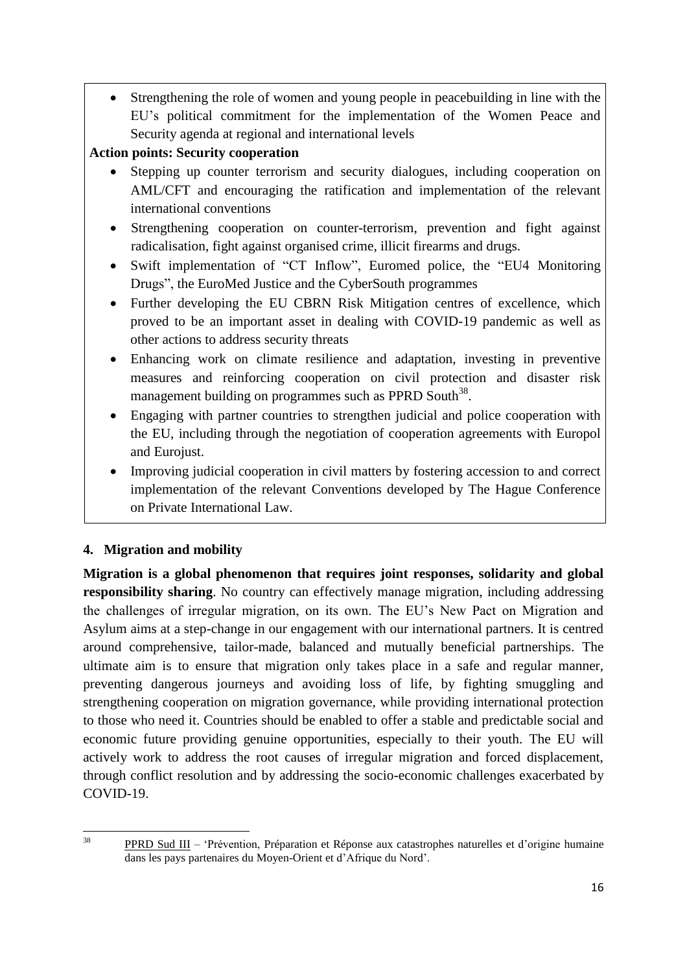Strengthening the role of women and young people in peacebuilding in line with the EU's political commitment for the implementation of the Women Peace and Security agenda at regional and international levels

# **Action points: Security cooperation**

- Stepping up counter terrorism and security dialogues, including cooperation on AML/CFT and encouraging the ratification and implementation of the relevant international conventions
- Strengthening cooperation on counter-terrorism, prevention and fight against radicalisation, fight against organised crime, illicit firearms and drugs.
- Swift implementation of "CT Inflow", Euromed police, the "EU4 Monitoring Drugs", the EuroMed Justice and the CyberSouth programmes
- Further developing the EU CBRN Risk Mitigation centres of excellence, which proved to be an important asset in dealing with COVID-19 pandemic as well as other actions to address security threats
- Enhancing work on climate resilience and adaptation, investing in preventive measures and reinforcing cooperation on civil protection and disaster risk management building on programmes such as PPRD South<sup>38</sup>.
- Engaging with partner countries to strengthen judicial and police cooperation with the EU, including through the negotiation of cooperation agreements with Europol and Eurojust.
- Improving judicial cooperation in civil matters by fostering accession to and correct implementation of the relevant Conventions developed by The Hague Conference on Private International Law.

# **4. Migration and mobility**

**Migration is a global phenomenon that requires joint responses, solidarity and global responsibility sharing**. No country can effectively manage migration, including addressing the challenges of irregular migration, on its own. The EU's New Pact on Migration and Asylum aims at a step-change in our engagement with our international partners. It is centred around comprehensive, tailor-made, balanced and mutually beneficial partnerships. The ultimate aim is to ensure that migration only takes place in a safe and regular manner, preventing dangerous journeys and avoiding loss of life, by fighting smuggling and strengthening cooperation on migration governance, while providing international protection to those who need it. Countries should be enabled to offer a stable and predictable social and economic future providing genuine opportunities, especially to their youth. The EU will actively work to address the root causes of irregular migration and forced displacement, through conflict resolution and by addressing the socio-economic challenges exacerbated by COVID-19.

<sup>38</sup> 

<sup>38</sup> [PPRD](https://www.euneighbours.eu/fr/south/stay-informed/projects/pprd-sud-iii-prevention-preparation-et-reponse-aux-catastrophes) Sud III – 'Prévention, Préparation et Réponse aux catastrophes naturelles et d'origine humaine dans les pays partenaires du Moyen-Orient et d'Afrique du Nord'.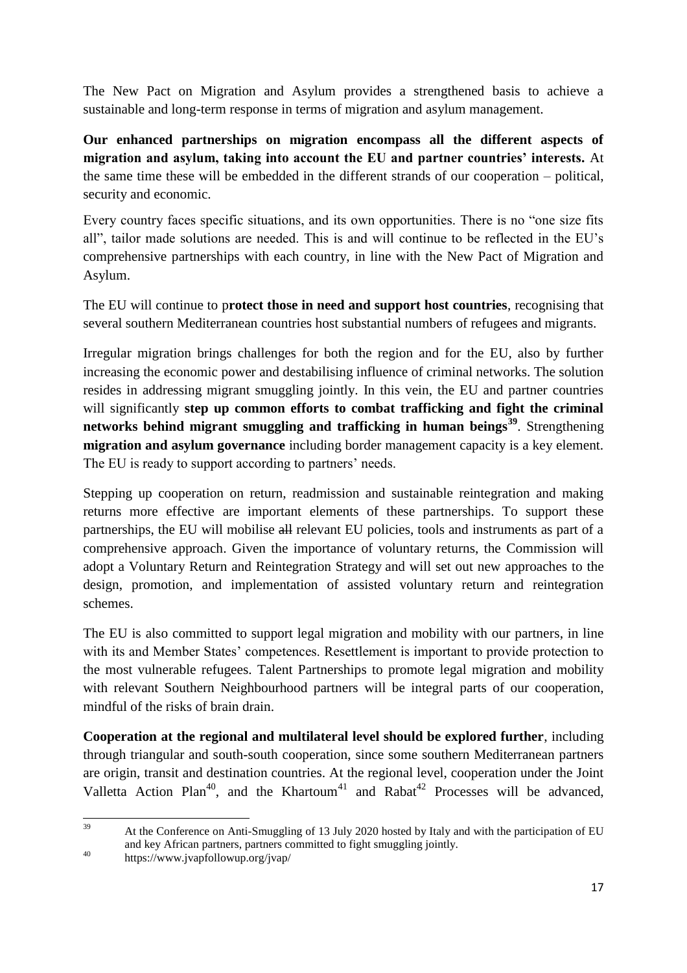The New Pact on Migration and Asylum provides a strengthened basis to achieve a sustainable and long-term response in terms of migration and asylum management.

**Our enhanced partnerships on migration encompass all the different aspects of migration and asylum, taking into account the EU and partner countries' interests.** At the same time these will be embedded in the different strands of our cooperation – political, security and economic.

Every country faces specific situations, and its own opportunities. There is no "one size fits all", tailor made solutions are needed. This is and will continue to be reflected in the EU's comprehensive partnerships with each country, in line with the New Pact of Migration and Asylum.

The EU will continue to p**rotect those in need and support host countries**, recognising that several southern Mediterranean countries host substantial numbers of refugees and migrants.

Irregular migration brings challenges for both the region and for the EU, also by further increasing the economic power and destabilising influence of criminal networks. The solution resides in addressing migrant smuggling jointly. In this vein, the EU and partner countries will significantly **step up common efforts to combat trafficking and fight the criminal networks behind migrant smuggling and trafficking in human beings<sup>39</sup>**. Strengthening **migration and asylum governance** including border management capacity is a key element. The EU is ready to support according to partners' needs.

Stepping up cooperation on return, readmission and sustainable reintegration and making returns more effective are important elements of these partnerships. To support these partnerships, the EU will mobilise all relevant EU policies, tools and instruments as part of a comprehensive approach. Given the importance of voluntary returns, the Commission will adopt a Voluntary Return and Reintegration Strategy and will set out new approaches to the design, promotion, and implementation of assisted voluntary return and reintegration schemes.

The EU is also committed to support legal migration and mobility with our partners, in line with its and Member States' competences. Resettlement is important to provide protection to the most vulnerable refugees. Talent Partnerships to promote legal migration and mobility with relevant Southern Neighbourhood partners will be integral parts of our cooperation, mindful of the risks of brain drain.

**Cooperation at the regional and multilateral level should be explored further**, including through triangular and south-south cooperation, since some southern Mediterranean partners are origin, transit and destination countries. At the regional level, cooperation under the Joint Valletta Action Plan<sup>40</sup>, and the Khartoum<sup>41</sup> and Rabat<sup>42</sup> Processes will be advanced,

<sup>39</sup> At the Conference on Anti-Smuggling of 13 July 2020 hosted by Italy and with the participation of EU and key African partners, partners committed to fight smuggling jointly.

<sup>40</sup> https://www.jvapfollowup.org/jvap/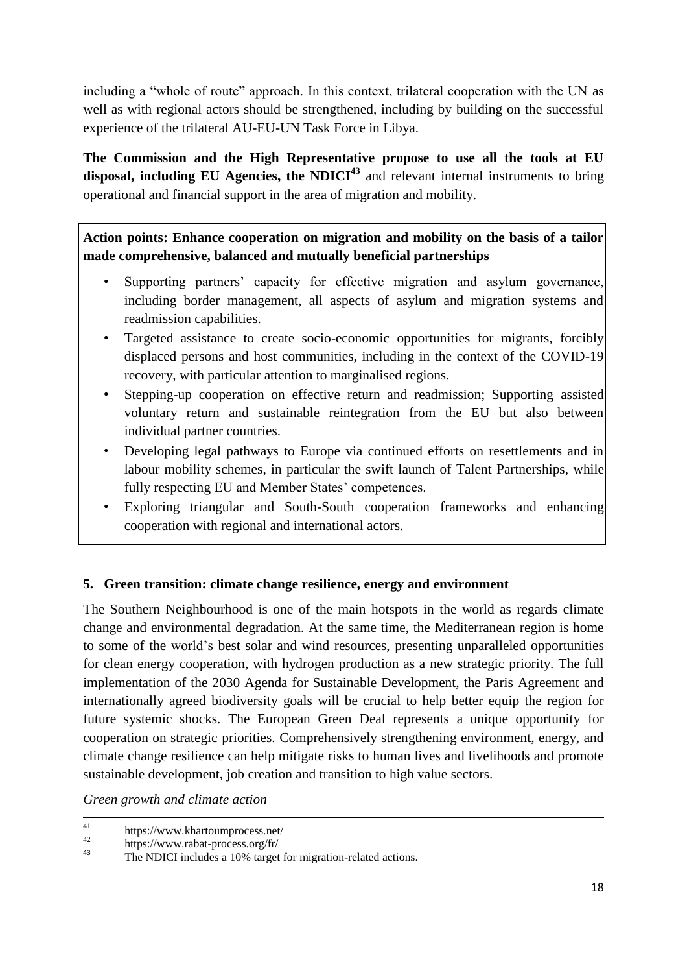including a "whole of route" approach. In this context, trilateral cooperation with the UN as well as with regional actors should be strengthened, including by building on the successful experience of the trilateral AU-EU-UN Task Force in Libya.

**The Commission and the High Representative propose to use all the tools at EU**  disposal, including EU Agencies, the NDICI<sup>43</sup> and relevant internal instruments to bring operational and financial support in the area of migration and mobility.

**Action points: Enhance cooperation on migration and mobility on the basis of a tailor made comprehensive, balanced and mutually beneficial partnerships** 

- Supporting partners' capacity for effective migration and asylum governance, including border management, all aspects of asylum and migration systems and readmission capabilities.
- Targeted assistance to create socio-economic opportunities for migrants, forcibly displaced persons and host communities, including in the context of the COVID-19 recovery, with particular attention to marginalised regions.
- Stepping-up cooperation on effective return and readmission; Supporting assisted voluntary return and sustainable reintegration from the EU but also between individual partner countries.
- Developing legal pathways to Europe via continued efforts on resettlements and in labour mobility schemes, in particular the swift launch of Talent Partnerships, while fully respecting EU and Member States' competences.
- Exploring triangular and South-South cooperation frameworks and enhancing cooperation with regional and international actors.

## **5. Green transition: climate change resilience, energy and environment**

The Southern Neighbourhood is one of the main hotspots in the world as regards climate change and environmental degradation. At the same time, the Mediterranean region is home to some of the world's best solar and wind resources, presenting unparalleled opportunities for clean energy cooperation, with hydrogen production as a new strategic priority. The full implementation of the 2030 Agenda for Sustainable Development, the Paris Agreement and internationally agreed biodiversity goals will be crucial to help better equip the region for future systemic shocks. The European Green Deal represents a unique opportunity for cooperation on strategic priorities. Comprehensively strengthening environment, energy, and climate change resilience can help mitigate risks to human lives and livelihoods and promote sustainable development, job creation and transition to high value sectors.

*Green growth and climate action*

<sup>41</sup> <sup>41</sup> https://www.khartoumprocess.net/<br> $\frac{42}{\text{https://www.rahat process.org/fr/}}$ 

 $^{42}$  https://www.rabat-process.org/fr/<br> $^{43}$  The NDICI includes a 10% tenset

The NDICI includes a 10% target for migration-related actions.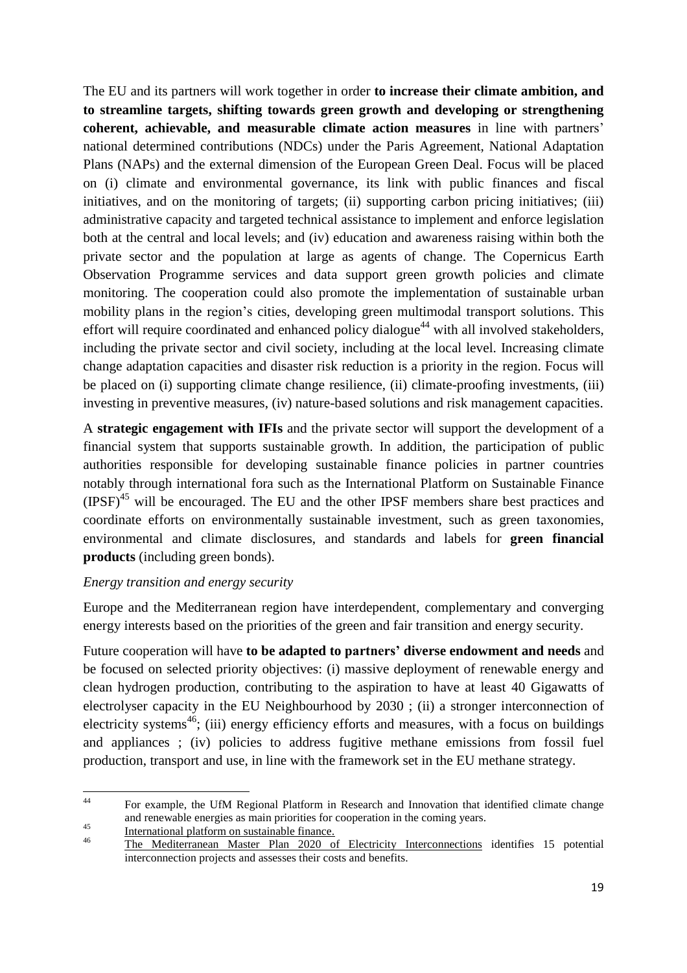The EU and its partners will work together in order **to increase their climate ambition, and to streamline targets, shifting towards green growth and developing or strengthening coherent, achievable, and measurable climate action measures** in line with partners' national determined contributions (NDCs) under the Paris Agreement, National Adaptation Plans (NAPs) and the external dimension of the European Green Deal. Focus will be placed on (i) climate and environmental governance, its link with public finances and fiscal initiatives, and on the monitoring of targets; (ii) supporting carbon pricing initiatives; (iii) administrative capacity and targeted technical assistance to implement and enforce legislation both at the central and local levels; and (iv) education and awareness raising within both the private sector and the population at large as agents of change. The Copernicus Earth Observation Programme services and data support green growth policies and climate monitoring. The cooperation could also promote the implementation of sustainable urban mobility plans in the region's cities, developing green multimodal transport solutions. This effort will require coordinated and enhanced policy dialogue<sup>44</sup> with all involved stakeholders, including the private sector and civil society, including at the local level. Increasing climate change adaptation capacities and disaster risk reduction is a priority in the region. Focus will be placed on (i) supporting climate change resilience, (ii) climate-proofing investments, (iii) investing in preventive measures, (iv) nature-based solutions and risk management capacities.

A **strategic engagement with IFIs** and the private sector will support the development of a financial system that supports sustainable growth. In addition, the participation of public authorities responsible for developing sustainable finance policies in partner countries notably through international fora such as the International Platform on Sustainable Finance  $(IPSF)<sup>45</sup>$  will be encouraged. The EU and the other IPSF members share best practices and coordinate efforts on environmentally sustainable investment, such as green taxonomies, environmental and climate disclosures, and standards and labels for **green financial products** (including green bonds).

### *Energy transition and energy security*

Europe and the Mediterranean region have interdependent, complementary and converging energy interests based on the priorities of the green and fair transition and energy security.

Future cooperation will have **to be adapted to partners' diverse endowment and needs** and be focused on selected priority objectives: (i) massive deployment of renewable energy and clean hydrogen production, contributing to the aspiration to have at least 40 Gigawatts of electrolyser capacity in the EU Neighbourhood by 2030 ; (ii) a stronger interconnection of electricity systems<sup>46</sup>; (iii) energy efficiency efforts and measures, with a focus on buildings and appliances ; (iv) policies to address fugitive methane emissions from fossil fuel production, transport and use, in line with the framework set in the EU methane strategy.

 $44$ <sup>44</sup> For example, the UfM Regional Platform in Research and Innovation that identified climate change and renewable energies as main priorities for cooperation in the coming years.

 $\frac{45}{100}$  [International](https://ec.europa.eu/info/business-economy-euro/banking-and-finance/sustainable-finance/international-platform-sustainable-finance_en#documents) platform on sustainable finance.

<sup>46</sup> The Mediterranean Master Plan 2020 of Electricity [Interconnections](https://masterplan.med-tso.com/) identifies 15 potential interconnection projects and assesses their costs and benefits.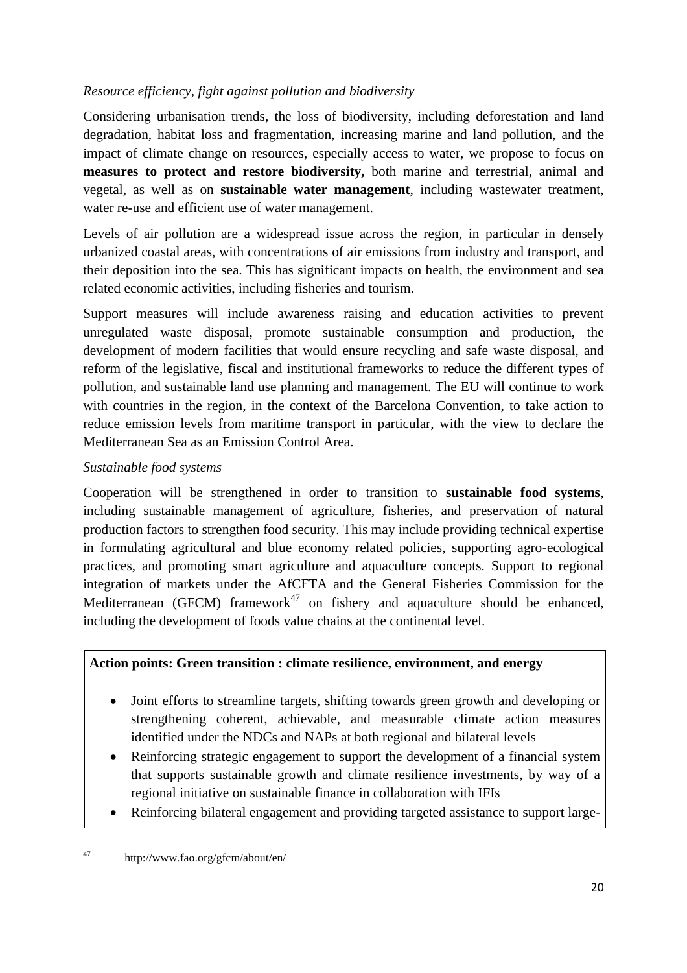## *Resource efficiency, fight against pollution and biodiversity*

Considering urbanisation trends, the loss of biodiversity, including deforestation and land degradation, habitat loss and fragmentation, increasing marine and land pollution, and the impact of climate change on resources, especially access to water, we propose to focus on **measures to protect and restore biodiversity,** both marine and terrestrial, animal and vegetal, as well as on **sustainable water management**, including wastewater treatment, water re-use and efficient use of water management.

Levels of air pollution are a widespread issue across the region, in particular in densely urbanized coastal areas, with concentrations of air emissions from industry and transport, and their deposition into the sea. This has significant impacts on health, the environment and sea related economic activities, including fisheries and tourism.

Support measures will include awareness raising and education activities to prevent unregulated waste disposal, promote sustainable consumption and production, the development of modern facilities that would ensure recycling and safe waste disposal, and reform of the legislative, fiscal and institutional frameworks to reduce the different types of pollution, and sustainable land use planning and management. The EU will continue to work with countries in the region, in the context of the Barcelona Convention, to take action to reduce emission levels from maritime transport in particular, with the view to declare the Mediterranean Sea as an Emission Control Area.

### *Sustainable food systems*

Cooperation will be strengthened in order to transition to **sustainable food systems**, including sustainable management of agriculture, fisheries, and preservation of natural production factors to strengthen food security. This may include providing technical expertise in formulating agricultural and blue economy related policies, supporting agro-ecological practices, and promoting smart agriculture and aquaculture concepts. Support to regional integration of markets under the AfCFTA and the General Fisheries Commission for the Mediterranean (GFCM) framework<sup>47</sup> on fishery and aquaculture should be enhanced, including the development of foods value chains at the continental level.

### **Action points: Green transition : climate resilience, environment, and energy**

- Joint efforts to streamline targets, shifting towards green growth and developing or strengthening coherent, achievable, and measurable climate action measures identified under the NDCs and NAPs at both regional and bilateral levels
- Reinforcing strategic engagement to support the development of a financial system that supports sustainable growth and climate resilience investments, by way of a regional initiative on sustainable finance in collaboration with IFIs
- Reinforcing bilateral engagement and providing targeted assistance to support large-

<sup>47</sup> <sup>47</sup> http://www.fao.org/gfcm/about/en/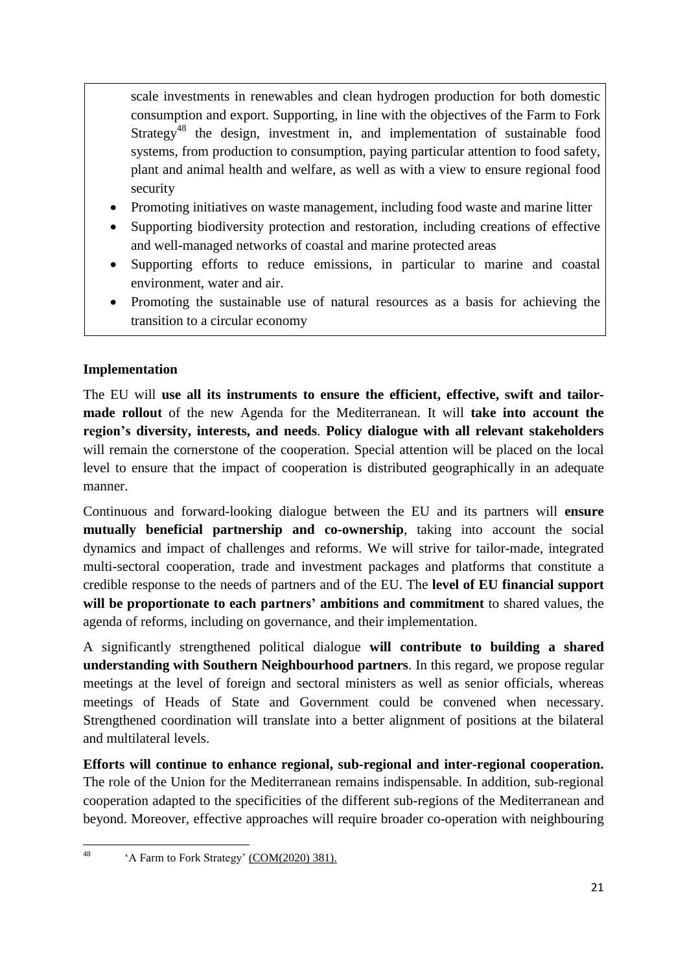scale investments in renewables and clean hydrogen production for both domestic consumption and export. Supporting, in line with the objectives of the Farm to Fork Strategy<sup>48</sup> the design, investment in, and implementation of sustainable food systems, from production to consumption, paying particular attention to food safety, plant and animal health and welfare, as well as with a view to ensure regional food security

- Promoting initiatives on waste management, including food waste and marine litter
- Supporting biodiversity protection and restoration, including creations of effective and well-managed networks of coastal and marine protected areas
- Supporting efforts to reduce emissions, in particular to marine and coastal environment, water and air.
- Promoting the sustainable use of natural resources as a basis for achieving the transition to a circular economy

# **Implementation**

The EU will **use all its instruments to ensure the efficient, effective, swift and tailormade rollout** of the new Agenda for the Mediterranean. It will **take into account the region's diversity, interests, and needs**. **Policy dialogue with all relevant stakeholders** will remain the cornerstone of the cooperation. Special attention will be placed on the local level to ensure that the impact of cooperation is distributed geographically in an adequate manner.

Continuous and forward-looking dialogue between the EU and its partners will **ensure mutually beneficial partnership and co-ownership**, taking into account the social dynamics and impact of challenges and reforms. We will strive for tailor-made, integrated multi-sectoral cooperation, trade and investment packages and platforms that constitute a credible response to the needs of partners and of the EU. The **level of EU financial support will be proportionate to each partners' ambitions and commitment** to shared values, the agenda of reforms, including on governance, and their implementation.

A significantly strengthened political dialogue **will contribute to building a shared understanding with Southern Neighbourhood partners**. In this regard, we propose regular meetings at the level of foreign and sectoral ministers as well as senior officials, whereas meetings of Heads of State and Government could be convened when necessary. Strengthened coordination will translate into a better alignment of positions at the bilateral and multilateral levels.

**Efforts will continue to enhance regional, sub-regional and inter-regional cooperation.** The role of the Union for the Mediterranean remains indispensable. In addition, sub-regional cooperation adapted to the specificities of the different sub-regions of the Mediterranean and beyond. Moreover, effective approaches will require broader co-operation with neighbouring

<sup>48</sup> 'A Farm to Fork Strategy' [\(COM\(2020\)](https://eur-lex.europa.eu/legal-content/EN/TXT/?uri=CELEX:52020DC0381) 381).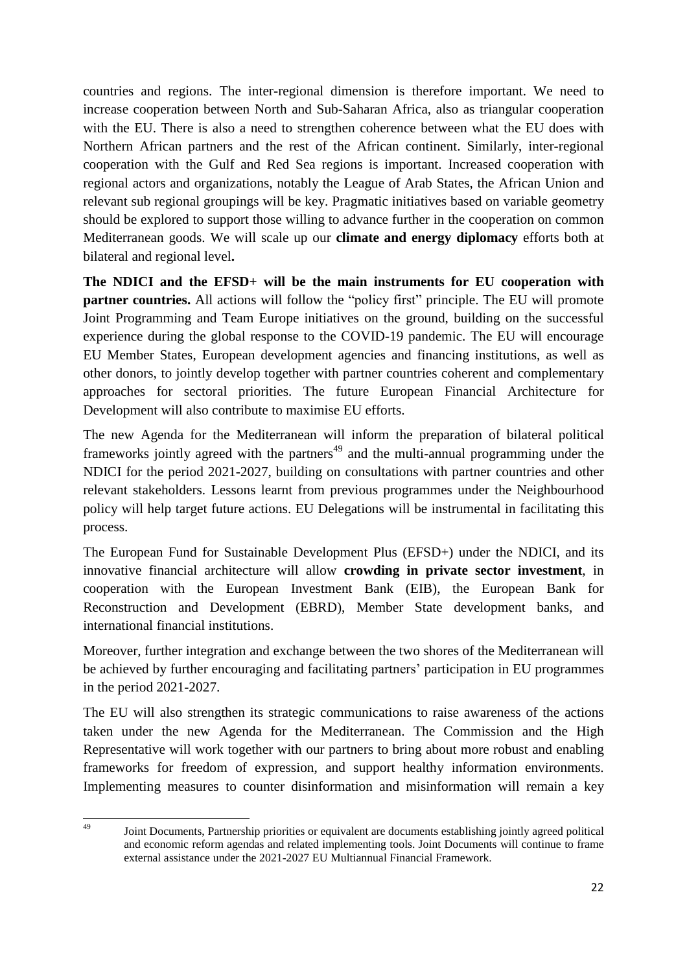countries and regions. The inter-regional dimension is therefore important. We need to increase cooperation between North and Sub-Saharan Africa, also as triangular cooperation with the EU. There is also a need to strengthen coherence between what the EU does with Northern African partners and the rest of the African continent. Similarly, inter-regional cooperation with the Gulf and Red Sea regions is important. Increased cooperation with regional actors and organizations, notably the League of Arab States, the African Union and relevant sub regional groupings will be key. Pragmatic initiatives based on variable geometry should be explored to support those willing to advance further in the cooperation on common Mediterranean goods. We will scale up our **climate and energy diplomacy** efforts both at bilateral and regional level**.**

**The NDICI and the EFSD+ will be the main instruments for EU cooperation with partner countries.** All actions will follow the "policy first" principle. The EU will promote Joint Programming and Team Europe initiatives on the ground, building on the successful experience during the global response to the COVID-19 pandemic. The EU will encourage EU Member States, European development agencies and financing institutions, as well as other donors, to jointly develop together with partner countries coherent and complementary approaches for sectoral priorities. The future European Financial Architecture for Development will also contribute to maximise EU efforts.

The new Agenda for the Mediterranean will inform the preparation of bilateral political frameworks jointly agreed with the partners<sup> $49$ </sup> and the multi-annual programming under the NDICI for the period 2021-2027, building on consultations with partner countries and other relevant stakeholders. Lessons learnt from previous programmes under the Neighbourhood policy will help target future actions. EU Delegations will be instrumental in facilitating this process.

The European Fund for Sustainable Development Plus (EFSD+) under the NDICI, and its innovative financial architecture will allow **crowding in private sector investment**, in cooperation with the European Investment Bank (EIB), the European Bank for Reconstruction and Development (EBRD), Member State development banks, and international financial institutions.

Moreover, further integration and exchange between the two shores of the Mediterranean will be achieved by further encouraging and facilitating partners' participation in EU programmes in the period 2021-2027.

The EU will also strengthen its strategic communications to raise awareness of the actions taken under the new Agenda for the Mediterranean. The Commission and the High Representative will work together with our partners to bring about more robust and enabling frameworks for freedom of expression, and support healthy information environments. Implementing measures to counter disinformation and misinformation will remain a key

<sup>49</sup> <sup>49</sup> Joint Documents, Partnership priorities or equivalent are documents establishing jointly agreed political and economic reform agendas and related implementing tools. Joint Documents will continue to frame external assistance under the 2021-2027 EU Multiannual Financial Framework.